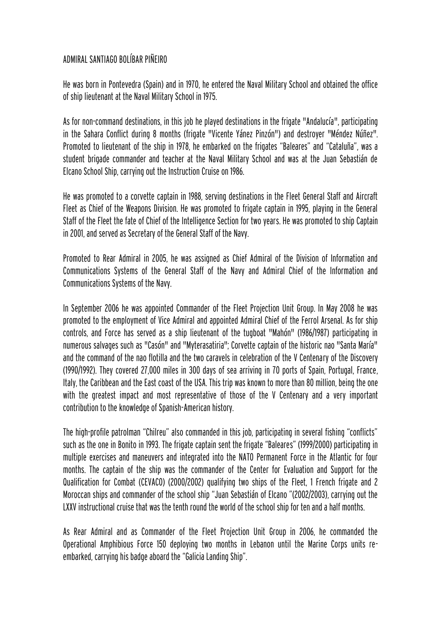## ADMIRAL SANTIAGO BOLÍBAR PIÑEIRO

He was born in Pontevedra (Spain) and in 1970, he entered the Naval Military School and obtained the office of ship lieutenant at the Naval Military School in 1975.

As for non-command destinations, in this job he played destinations in the frigate "Andalucía", participating in the Sahara Conflict during 8 months (frigate "Vicente Yánez Pinzón") and destroyer "Méndez Núñez". Promoted to lieutenant of the ship in 1978, he embarked on the frigates "Baleares" and "Cataluña", was a student brigade commander and teacher at the Naval Military School and was at the Juan Sebastián de Elcano School Ship, carrying out the Instruction Cruise on 1986.

He was promoted to a corvette captain in 1988, serving destinations in the Fleet General Staff and Aircraft Fleet as Chief of the Weapons Division. He was promoted to frigate captain in 1995, playing in the General Staff of the Fleet the fate of Chief of the Intelligence Section for two years. He was promoted to ship Captain in 2001, and served as Secretary of the General Staff of the Navy.

Promoted to Rear Admiral in 2005, he was assigned as Chief Admiral of the Division of Information and Communications Systems of the General Staff of the Navy and Admiral Chief of the Information and Communications Systems of the Navy.

In September 2006 he was appointed Commander of the Fleet Projection Unit Group. In May 2008 he was promoted to the employment of Vice Admiral and appointed Admiral Chief of the Ferrol Arsenal. As for ship controls, and Force has served as a ship lieutenant of the tugboat "Mahón" (1986/1987) participating in numerous salvages such as "Casón" and "Myterasatiria"; Corvette captain of the historic nao "Santa María" and the command of the nao flotilla and the two caravels in celebration of the V Centenary of the Discovery (1990/1992). They covered 27,000 miles in 300 days of sea arriving in 70 ports of Spain, Portugal, France, Italy, the Caribbean and the East coast of the USA. This trip was known to more than 80 million, being the one with the greatest impact and most representative of those of the V Centenary and a very important contribution to the knowledge of Spanish-American history.

The high-profile patrolman "Chilreu" also commanded in this job, participating in several fishing "conflicts" such as the one in Bonito in 1993. The frigate captain sent the frigate "Baleares" (1999/2000) participating in multiple exercises and maneuvers and integrated into the NATO Permanent Force in the Atlantic for four months. The captain of the ship was the commander of the Center for Evaluation and Support for the Qualification for Combat (CEVACO) (2000/2002) qualifying two ships of the Fleet, 1 French frigate and 2 Moroccan ships and commander of the school ship "Juan Sebastián of Elcano "(2002/2003), carrying out the LXXV instructional cruise that was the tenth round the world of the school ship for ten and a half months.

As Rear Admiral and as Commander of the Fleet Projection Unit Group in 2006, he commanded the Operational Amphibious Force 150 deploying two months in Lebanon until the Marine Corps units reembarked, carrying his badge aboard the "Galicia Landing Ship".